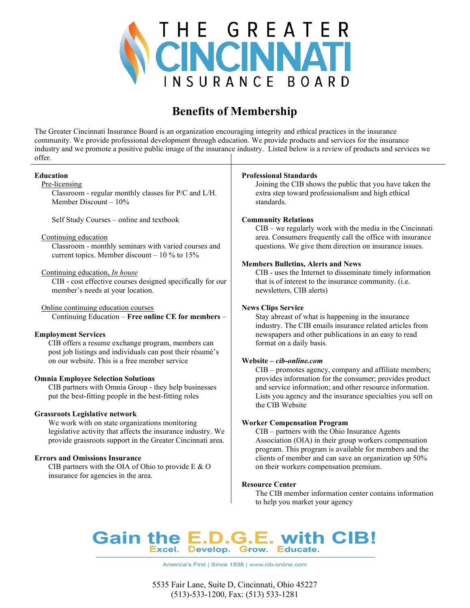

## Benefits of Membership

The Greater Cincinnati Insurance Board is an organization encouraging integrity and ethical practices in the insurance community. We provide professional development through education. We provide products and services for the insurance industry and we promote a positive public image of the insurance industry. Listed below is a review of products and services we offer.

| <b>Education</b><br>Pre-licensing<br>Classroom - regular monthly classes for P/C and L/H.<br>Member Discount - 10%                                                                                                                                                                                                                                                                                                                                        | <b>Professional Standards</b><br>Joining the CIB shows the public that you have taken the<br>extra step toward professionalism and high ethical<br>standards.                                                                                                                                                                                                                                                                                                                                                                |
|-----------------------------------------------------------------------------------------------------------------------------------------------------------------------------------------------------------------------------------------------------------------------------------------------------------------------------------------------------------------------------------------------------------------------------------------------------------|------------------------------------------------------------------------------------------------------------------------------------------------------------------------------------------------------------------------------------------------------------------------------------------------------------------------------------------------------------------------------------------------------------------------------------------------------------------------------------------------------------------------------|
| Self Study Courses - online and textbook<br>Continuing education<br>Classroom - monthly seminars with varied courses and<br>current topics. Member discount $-10$ % to 15%<br>Continuing education, In house<br>CIB - cost effective courses designed specifically for our<br>member's needs at your location.                                                                                                                                            | <b>Community Relations</b><br>$CIB$ – we regularly work with the media in the Cincinnati<br>area. Consumers frequently call the office with insurance<br>questions. We give them direction on insurance issues.<br><b>Members Bulletins, Alerts and News</b><br>CIB - uses the Internet to disseminate timely information<br>that is of interest to the insurance community. (i.e.<br>newsletters, CIB alerts)                                                                                                               |
| Online continuing education courses<br>Continuing Education - Free online CE for members -<br><b>Employment Services</b><br>CIB offers a resume exchange program, members can<br>post job listings and individuals can post their résumé's<br>on our website. This is a free member service<br><b>Omnia Employee Selection Solutions</b><br>CIB partners with Omnia Group - they help businesses<br>put the best-fitting people in the best-fitting roles | <b>News Clips Service</b><br>Stay abreast of what is happening in the insurance<br>industry. The CIB emails insurance related articles from<br>newspapers and other publications in an easy to read<br>format on a daily basis.<br>Website - cib-online.com<br>CIB - promotes agency, company and affiliate members;<br>provides information for the consumer; provides product<br>and service information; and other resource information.<br>Lists you agency and the insurance specialties you sell on<br>the CIB Website |
| <b>Grassroots Legislative network</b><br>We work with on state organizations monitoring<br>legislative activity that affects the insurance industry. We<br>provide grassroots support in the Greater Cincinnati area.<br><b>Errors and Omissions Insurance</b><br>CIB partners with the OIA of Ohio to provide E & O<br>insurance for agencies in the area.                                                                                               | <b>Worker Compensation Program</b><br>$CIB$ – partners with the Ohio Insurance Agents<br>Association (OIA) in their group workers compensation<br>program. This program is available for members and the<br>clients of member and can save an organization up 50%<br>on their workers compensation premium.<br><b>Resource Center</b><br>The CIB member information center contains information<br>to help you market your agency                                                                                            |
|                                                                                                                                                                                                                                                                                                                                                                                                                                                           | Gain the E.D.G.E. with CIB!                                                                                                                                                                                                                                                                                                                                                                                                                                                                                                  |

America's First | Since 1838 | www.cib-onilne.com

5535 Fair Lane, Suite D, Cincinnati, Ohio 45227 (513)-533-1200, Fax: (513) 533-1281